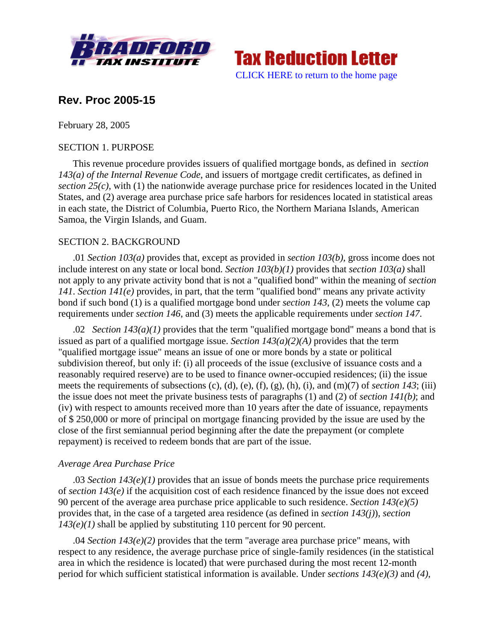



# **Rev. Proc 2005-15**

February 28, 2005

### SECTION 1. PURPOSE

This revenue procedure provides issuers of qualified mortgage bonds, as defined in *section 143(a) of the Internal Revenue Code*, and issuers of mortgage credit certificates, as defined in *section 25(c)*, with (1) the nationwide average purchase price for residences located in the United States, and (2) average area purchase price safe harbors for residences located in statistical areas in each state, the District of Columbia, Puerto Rico, the Northern Mariana Islands, American Samoa, the Virgin Islands, and Guam.

# SECTION 2. BACKGROUND

.01 *Section 103(a)* provides that, except as provided in *section 103(b)*, gross income does not include interest on any state or local bond. *Section 103(b)(1)* provides that *section 103(a)* shall not apply to any private activity bond that is not a "qualified bond" within the meaning of *section 141*. *Section 141(e)* provides, in part, that the term "qualified bond" means any private activity bond if such bond (1) is a qualified mortgage bond under *section 143*, (2) meets the volume cap requirements under *section 146*, and (3) meets the applicable requirements under *section 147*.

.02 *Section 143(a)(1)* provides that the term "qualified mortgage bond" means a bond that is issued as part of a qualified mortgage issue. *Section 143(a)(2)(A)* provides that the term "qualified mortgage issue" means an issue of one or more bonds by a state or political subdivision thereof, but only if: (i) all proceeds of the issue (exclusive of issuance costs and a reasonably required reserve) are to be used to finance owner-occupied residences; (ii) the issue meets the requirements of subsections (c), (d), (e), (f), (g), (h), (i), and (m)(7) of *section 143*; (iii) the issue does not meet the private business tests of paragraphs (1) and (2) of *section 141(b)*; and (iv) with respect to amounts received more than 10 years after the date of issuance, repayments of \$ 250,000 or more of principal on mortgage financing provided by the issue are used by the close of the first semiannual period beginning after the date the prepayment (or complete repayment) is received to redeem bonds that are part of the issue.

# *Average Area Purchase Price*

.03 *Section 143(e)(1)* provides that an issue of bonds meets the purchase price requirements of *section 143(e)* if the acquisition cost of each residence financed by the issue does not exceed 90 percent of the average area purchase price applicable to such residence. *Section 143(e)(5)* provides that, in the case of a targeted area residence (as defined in *section 143(j)*), *section 143(e)(1)* shall be applied by substituting 110 percent for 90 percent.

.04 *Section 143(e)(2)* provides that the term "average area purchase price" means, with respect to any residence, the average purchase price of single-family residences (in the statistical area in which the residence is located) that were purchased during the most recent 12-month period for which sufficient statistical information is available. Under *sections 143(e)(3)* and *(4)*,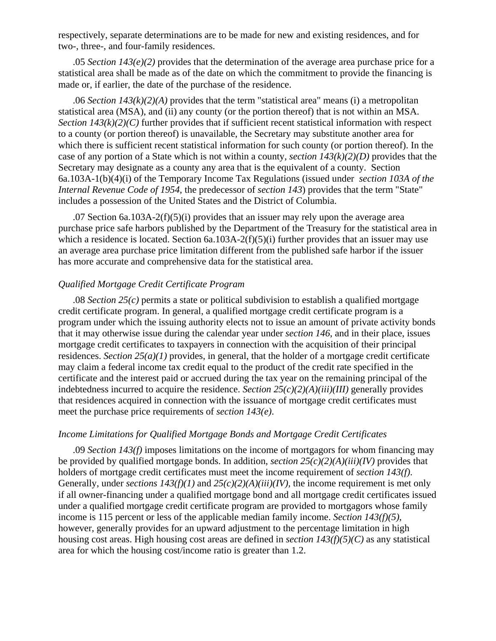respectively, separate determinations are to be made for new and existing residences, and for two-, three-, and four-family residences.

.05 *Section 143(e)(2)* provides that the determination of the average area purchase price for a statistical area shall be made as of the date on which the commitment to provide the financing is made or, if earlier, the date of the purchase of the residence.

.06 *Section 143(k)(2)(A)* provides that the term "statistical area" means (i) a metropolitan statistical area (MSA), and (ii) any county (or the portion thereof) that is not within an MSA. *Section 143(k)(2)(C)* further provides that if sufficient recent statistical information with respect to a county (or portion thereof) is unavailable, the Secretary may substitute another area for which there is sufficient recent statistical information for such county (or portion thereof). In the case of any portion of a State which is not within a county, *section 143(k)(2)(D)* provides that the Secretary may designate as a county any area that is the equivalent of a county. Section 6a.103A-1(b)(4)(i) of the Temporary Income Tax Regulations (issued under *section 103A of the Internal Revenue Code of 1954*, the predecessor of *section 143*) provides that the term "State" includes a possession of the United States and the District of Columbia.

.07 Section 6a.103A-2(f)(5)(i) provides that an issuer may rely upon the average area purchase price safe harbors published by the Department of the Treasury for the statistical area in which a residence is located. Section 6a.103A-2(f)(5)(i) further provides that an issuer may use an average area purchase price limitation different from the published safe harbor if the issuer has more accurate and comprehensive data for the statistical area.

#### *Qualified Mortgage Credit Certificate Program*

.08 *Section 25(c)* permits a state or political subdivision to establish a qualified mortgage credit certificate program. In general, a qualified mortgage credit certificate program is a program under which the issuing authority elects not to issue an amount of private activity bonds that it may otherwise issue during the calendar year under *section 146*, and in their place, issues mortgage credit certificates to taxpayers in connection with the acquisition of their principal residences. *Section 25(a)(1)* provides, in general, that the holder of a mortgage credit certificate may claim a federal income tax credit equal to the product of the credit rate specified in the certificate and the interest paid or accrued during the tax year on the remaining principal of the indebtedness incurred to acquire the residence. *Section 25(c)(2)(A)(iii)(III)* generally provides that residences acquired in connection with the issuance of mortgage credit certificates must meet the purchase price requirements of *section 143(e)*.

#### *Income Limitations for Qualified Mortgage Bonds and Mortgage Credit Certificates*

.09 *Section 143(f)* imposes limitations on the income of mortgagors for whom financing may be provided by qualified mortgage bonds. In addition, *section 25(c)(2)(A)(iii)(IV)* provides that holders of mortgage credit certificates must meet the income requirement of *section 143(f)*. Generally, under *sections 143(f)(1)* and *25(c)(2)(A)(iii)(IV),* the income requirement is met only if all owner-financing under a qualified mortgage bond and all mortgage credit certificates issued under a qualified mortgage credit certificate program are provided to mortgagors whose family income is 115 percent or less of the applicable median family income. *Section 143(f)(5)*, however, generally provides for an upward adjustment to the percentage limitation in high housing cost areas. High housing cost areas are defined in *section 143(f)(5)(C)* as any statistical area for which the housing cost/income ratio is greater than 1.2.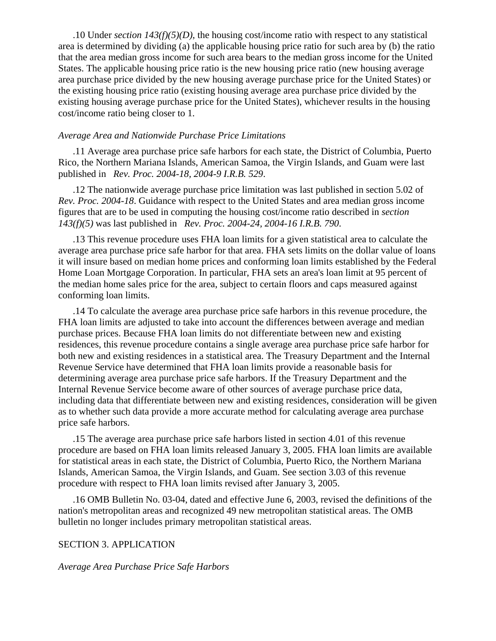.10 Under *section 143(f)(5)(D)*, the housing cost/income ratio with respect to any statistical area is determined by dividing (a) the applicable housing price ratio for such area by (b) the ratio that the area median gross income for such area bears to the median gross income for the United States. The applicable housing price ratio is the new housing price ratio (new housing average area purchase price divided by the new housing average purchase price for the United States) or the existing housing price ratio (existing housing average area purchase price divided by the existing housing average purchase price for the United States), whichever results in the housing cost/income ratio being closer to 1.

#### *Average Area and Nationwide Purchase Price Limitations*

.11 Average area purchase price safe harbors for each state, the District of Columbia, Puerto Rico, the Northern Mariana Islands, American Samoa, the Virgin Islands, and Guam were last published in *Rev. Proc. 2004-18, 2004-9 I.R.B. 529*.

.12 The nationwide average purchase price limitation was last published in section 5.02 of *Rev. Proc. 2004-18*. Guidance with respect to the United States and area median gross income figures that are to be used in computing the housing cost/income ratio described in *section 143(f)(5)* was last published in *Rev. Proc. 2004-24, 2004-16 I.R.B. 790*.

.13 This revenue procedure uses FHA loan limits for a given statistical area to calculate the average area purchase price safe harbor for that area. FHA sets limits on the dollar value of loans it will insure based on median home prices and conforming loan limits established by the Federal Home Loan Mortgage Corporation. In particular, FHA sets an area's loan limit at 95 percent of the median home sales price for the area, subject to certain floors and caps measured against conforming loan limits.

.14 To calculate the average area purchase price safe harbors in this revenue procedure, the FHA loan limits are adjusted to take into account the differences between average and median purchase prices. Because FHA loan limits do not differentiate between new and existing residences, this revenue procedure contains a single average area purchase price safe harbor for both new and existing residences in a statistical area. The Treasury Department and the Internal Revenue Service have determined that FHA loan limits provide a reasonable basis for determining average area purchase price safe harbors. If the Treasury Department and the Internal Revenue Service become aware of other sources of average purchase price data, including data that differentiate between new and existing residences, consideration will be given as to whether such data provide a more accurate method for calculating average area purchase price safe harbors.

.15 The average area purchase price safe harbors listed in section 4.01 of this revenue procedure are based on FHA loan limits released January 3, 2005. FHA loan limits are available for statistical areas in each state, the District of Columbia, Puerto Rico, the Northern Mariana Islands, American Samoa, the Virgin Islands, and Guam. See section 3.03 of this revenue procedure with respect to FHA loan limits revised after January 3, 2005.

.16 OMB Bulletin No. 03-04, dated and effective June 6, 2003, revised the definitions of the nation's metropolitan areas and recognized 49 new metropolitan statistical areas. The OMB bulletin no longer includes primary metropolitan statistical areas.

### SECTION 3. APPLICATION

#### *Average Area Purchase Price Safe Harbors*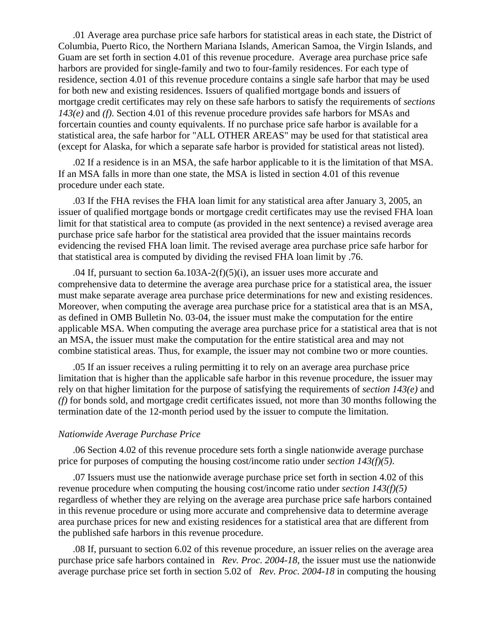.01 Average area purchase price safe harbors for statistical areas in each state, the District of Columbia, Puerto Rico, the Northern Mariana Islands, American Samoa, the Virgin Islands, and Guam are set forth in section 4.01 of this revenue procedure. Average area purchase price safe harbors are provided for single-family and two to four-family residences. For each type of residence, section 4.01 of this revenue procedure contains a single safe harbor that may be used for both new and existing residences. Issuers of qualified mortgage bonds and issuers of mortgage credit certificates may rely on these safe harbors to satisfy the requirements of *sections 143(e)* and *(f)*. Section 4.01 of this revenue procedure provides safe harbors for MSAs and forcertain counties and county equivalents. If no purchase price safe harbor is available for a statistical area, the safe harbor for "ALL OTHER AREAS" may be used for that statistical area (except for Alaska, for which a separate safe harbor is provided for statistical areas not listed).

.02 If a residence is in an MSA, the safe harbor applicable to it is the limitation of that MSA. If an MSA falls in more than one state, the MSA is listed in section 4.01 of this revenue procedure under each state.

.03 If the FHA revises the FHA loan limit for any statistical area after January 3, 2005, an issuer of qualified mortgage bonds or mortgage credit certificates may use the revised FHA loan limit for that statistical area to compute (as provided in the next sentence) a revised average area purchase price safe harbor for the statistical area provided that the issuer maintains records evidencing the revised FHA loan limit. The revised average area purchase price safe harbor for that statistical area is computed by dividing the revised FHA loan limit by .76.

.04 If, pursuant to section  $6a.103A-2(f)(5)(i)$ , an issuer uses more accurate and comprehensive data to determine the average area purchase price for a statistical area, the issuer must make separate average area purchase price determinations for new and existing residences. Moreover, when computing the average area purchase price for a statistical area that is an MSA, as defined in OMB Bulletin No. 03-04, the issuer must make the computation for the entire applicable MSA. When computing the average area purchase price for a statistical area that is not an MSA, the issuer must make the computation for the entire statistical area and may not combine statistical areas. Thus, for example, the issuer may not combine two or more counties.

.05 If an issuer receives a ruling permitting it to rely on an average area purchase price limitation that is higher than the applicable safe harbor in this revenue procedure, the issuer may rely on that higher limitation for the purpose of satisfying the requirements of *section 143(e)* and *(f)* for bonds sold, and mortgage credit certificates issued, not more than 30 months following the termination date of the 12-month period used by the issuer to compute the limitation.

#### *Nationwide Average Purchase Price*

.06 Section 4.02 of this revenue procedure sets forth a single nationwide average purchase price for purposes of computing the housing cost/income ratio under *section 143(f)(5)*.

.07 Issuers must use the nationwide average purchase price set forth in section 4.02 of this revenue procedure when computing the housing cost/income ratio under *section 143(f)(5)* regardless of whether they are relying on the average area purchase price safe harbors contained in this revenue procedure or using more accurate and comprehensive data to determine average area purchase prices for new and existing residences for a statistical area that are different from the published safe harbors in this revenue procedure.

.08 If, pursuant to section 6.02 of this revenue procedure, an issuer relies on the average area purchase price safe harbors contained in *Rev. Proc. 2004-18*, the issuer must use the nationwide average purchase price set forth in section 5.02 of *Rev. Proc. 2004-18* in computing the housing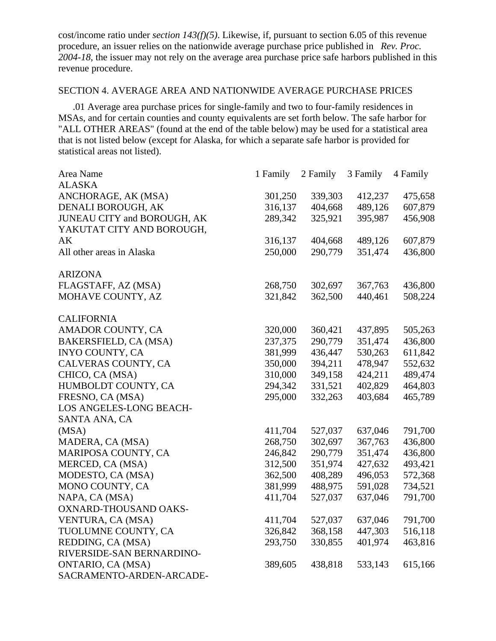cost/income ratio under *section 143(f)(5)*. Likewise, if, pursuant to section 6.05 of this revenue procedure, an issuer relies on the nationwide average purchase price published in *Rev. Proc. 2004-18*, the issuer may not rely on the average area purchase price safe harbors published in this revenue procedure.

# SECTION 4. AVERAGE AREA AND NATIONWIDE AVERAGE PURCHASE PRICES

.01 Average area purchase prices for single-family and two to four-family residences in MSAs, and for certain counties and county equivalents are set forth below. The safe harbor for "ALL OTHER AREAS" (found at the end of the table below) may be used for a statistical area that is not listed below (except for Alaska, for which a separate safe harbor is provided for statistical areas not listed).

| Area Name                   | 1 Family | 2 Family | 3 Family | 4 Family |
|-----------------------------|----------|----------|----------|----------|
| <b>ALASKA</b>               |          |          |          |          |
| ANCHORAGE, AK (MSA)         | 301,250  | 339,303  | 412,237  | 475,658  |
| DENALI BOROUGH, AK          | 316,137  | 404,668  | 489,126  | 607,879  |
| JUNEAU CITY and BOROUGH, AK | 289,342  | 325,921  | 395,987  | 456,908  |
| YAKUTAT CITY AND BOROUGH,   |          |          |          |          |
| AK                          | 316,137  | 404,668  | 489,126  | 607,879  |
| All other areas in Alaska   | 250,000  | 290,779  | 351,474  | 436,800  |
| <b>ARIZONA</b>              |          |          |          |          |
| FLAGSTAFF, AZ (MSA)         | 268,750  | 302,697  | 367,763  | 436,800  |
| MOHAVE COUNTY, AZ           | 321,842  | 362,500  | 440,461  | 508,224  |
| <b>CALIFORNIA</b>           |          |          |          |          |
| AMADOR COUNTY, CA           | 320,000  | 360,421  | 437,895  | 505,263  |
| BAKERSFIELD, CA (MSA)       | 237,375  | 290,779  | 351,474  | 436,800  |
| <b>INYO COUNTY, CA</b>      | 381,999  | 436,447  | 530,263  | 611,842  |
| CALVERAS COUNTY, CA         | 350,000  | 394,211  | 478,947  | 552,632  |
| CHICO, CA (MSA)             | 310,000  | 349,158  | 424,211  | 489,474  |
| HUMBOLDT COUNTY, CA         | 294,342  | 331,521  | 402,829  | 464,803  |
| FRESNO, CA (MSA)            | 295,000  | 332,263  | 403,684  | 465,789  |
| LOS ANGELES-LONG BEACH-     |          |          |          |          |
| SANTA ANA, CA               |          |          |          |          |
| (MSA)                       | 411,704  | 527,037  | 637,046  | 791,700  |
| MADERA, CA (MSA)            | 268,750  | 302,697  | 367,763  | 436,800  |
| MARIPOSA COUNTY, CA         | 246,842  | 290,779  | 351,474  | 436,800  |
| MERCED, CA (MSA)            | 312,500  | 351,974  | 427,632  | 493,421  |
| MODESTO, CA (MSA)           | 362,500  | 408,289  | 496,053  | 572,368  |
| MONO COUNTY, CA             | 381,999  | 488,975  | 591,028  | 734,521  |
| NAPA, CA (MSA)              | 411,704  | 527,037  | 637,046  | 791,700  |
| OXNARD-THOUSAND OAKS-       |          |          |          |          |
| VENTURA, CA (MSA)           | 411,704  | 527,037  | 637,046  | 791,700  |
| TUOLUMNE COUNTY, CA         | 326,842  | 368,158  | 447,303  | 516,118  |
| REDDING, CA (MSA)           | 293,750  | 330,855  | 401,974  | 463,816  |
| RIVERSIDE-SAN BERNARDINO-   |          |          |          |          |
| ONTARIO, CA (MSA)           | 389,605  | 438,818  | 533,143  | 615,166  |
| SACRAMENTO-ARDEN-ARCADE-    |          |          |          |          |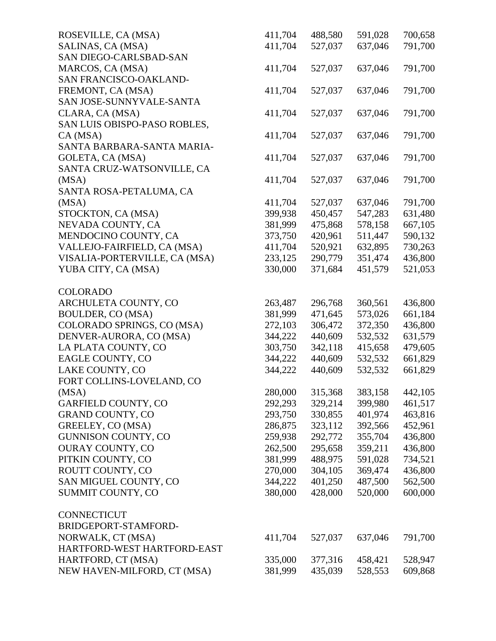| ROSEVILLE, CA (MSA)           | 411,704 | 488,580 | 591,028 | 700,658 |
|-------------------------------|---------|---------|---------|---------|
| SALINAS, CA (MSA)             | 411,704 | 527,037 | 637,046 | 791,700 |
| SAN DIEGO-CARLSBAD-SAN        |         |         |         |         |
| MARCOS, CA (MSA)              | 411,704 | 527,037 | 637,046 | 791,700 |
| SAN FRANCISCO-OAKLAND-        |         |         |         |         |
| FREMONT, CA (MSA)             | 411,704 | 527,037 | 637,046 | 791,700 |
| SAN JOSE-SUNNYVALE-SANTA      |         |         |         |         |
| CLARA, CA (MSA)               | 411,704 | 527,037 | 637,046 | 791,700 |
| SAN LUIS OBISPO-PASO ROBLES,  |         |         |         |         |
| CA (MSA)                      | 411,704 | 527,037 | 637,046 | 791,700 |
| SANTA BARBARA-SANTA MARIA-    |         |         |         |         |
| GOLETA, CA (MSA)              | 411,704 | 527,037 | 637,046 | 791,700 |
| SANTA CRUZ-WATSONVILLE, CA    |         |         |         |         |
| (MSA)                         | 411,704 | 527,037 | 637,046 | 791,700 |
| SANTA ROSA-PETALUMA, CA       |         |         |         |         |
| (MSA)                         | 411,704 | 527,037 | 637,046 | 791,700 |
| STOCKTON, CA (MSA)            | 399,938 | 450,457 | 547,283 | 631,480 |
| NEVADA COUNTY, CA             | 381,999 | 475,868 | 578,158 | 667,105 |
| MENDOCINO COUNTY, CA          | 373,750 | 420,961 | 511,447 | 590,132 |
| VALLEJO-FAIRFIELD, CA (MSA)   | 411,704 | 520,921 | 632,895 | 730,263 |
| VISALIA-PORTERVILLE, CA (MSA) | 233,125 | 290,779 | 351,474 | 436,800 |
| YUBA CITY, CA (MSA)           | 330,000 | 371,684 | 451,579 | 521,053 |
|                               |         |         |         |         |
| <b>COLORADO</b>               |         |         |         |         |
| ARCHULETA COUNTY, CO          | 263,487 | 296,768 | 360,561 | 436,800 |
| BOULDER, CO (MSA)             | 381,999 | 471,645 | 573,026 | 661,184 |
| COLORADO SPRINGS, CO (MSA)    | 272,103 | 306,472 | 372,350 | 436,800 |
| DENVER-AURORA, CO (MSA)       | 344,222 | 440,609 | 532,532 | 631,579 |
| LA PLATA COUNTY, CO           | 303,750 | 342,118 | 415,658 | 479,605 |
| EAGLE COUNTY, CO              | 344,222 | 440,609 | 532,532 | 661,829 |
| LAKE COUNTY, CO               | 344,222 | 440,609 | 532,532 | 661,829 |
| FORT COLLINS-LOVELAND, CO     |         |         |         |         |
| (MSA)                         | 280,000 | 315,368 | 383,158 | 442,105 |
| GARFIELD COUNTY, CO           | 292,293 | 329,214 | 399,980 | 461,517 |
| <b>GRAND COUNTY, CO</b>       | 293,750 | 330,855 | 401,974 | 463,816 |
| GREELEY, CO (MSA)             | 286,875 | 323,112 | 392,566 | 452,961 |
| <b>GUNNISON COUNTY, CO</b>    | 259,938 | 292,772 | 355,704 | 436,800 |
| <b>OURAY COUNTY, CO</b>       | 262,500 | 295,658 | 359,211 | 436,800 |
| PITKIN COUNTY, CO             | 381,999 | 488,975 | 591,028 | 734,521 |
| ROUTT COUNTY, CO              | 270,000 | 304,105 | 369,474 | 436,800 |
| SAN MIGUEL COUNTY, CO         | 344,222 | 401,250 | 487,500 | 562,500 |
| SUMMIT COUNTY, CO             | 380,000 | 428,000 | 520,000 | 600,000 |
|                               |         |         |         |         |
| <b>CONNECTICUT</b>            |         |         |         |         |
| BRIDGEPORT-STAMFORD-          |         |         |         |         |
| NORWALK, CT (MSA)             | 411,704 | 527,037 | 637,046 | 791,700 |
| HARTFORD-WEST HARTFORD-EAST   |         |         |         |         |
| HARTFORD, CT (MSA)            | 335,000 | 377,316 | 458,421 | 528,947 |
| NEW HAVEN-MILFORD, CT (MSA)   | 381,999 | 435,039 | 528,553 | 609,868 |
|                               |         |         |         |         |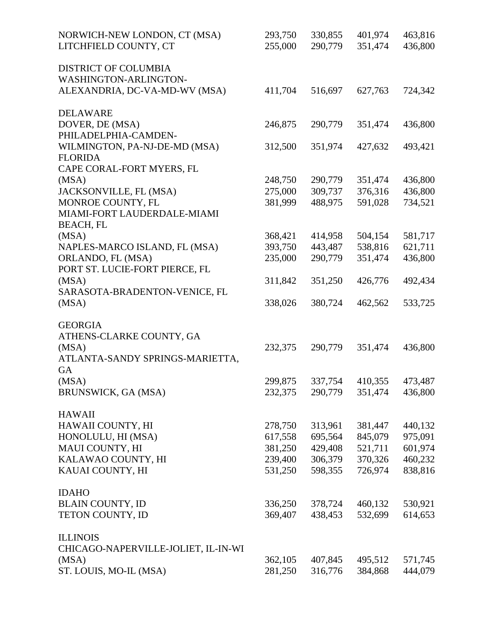| NORWICH-NEW LONDON, CT (MSA)        | 293,750 | 330,855 | 401,974 | 463,816 |
|-------------------------------------|---------|---------|---------|---------|
| LITCHFIELD COUNTY, CT               | 255,000 | 290,779 | 351,474 | 436,800 |
| <b>DISTRICT OF COLUMBIA</b>         |         |         |         |         |
| WASHINGTON-ARLINGTON-               |         |         |         |         |
| ALEXANDRIA, DC-VA-MD-WV (MSA)       | 411,704 | 516,697 | 627,763 | 724,342 |
| <b>DELAWARE</b>                     |         |         |         |         |
| DOVER, DE (MSA)                     | 246,875 | 290,779 | 351,474 | 436,800 |
| PHILADELPHIA-CAMDEN-                |         |         |         |         |
| WILMINGTON, PA-NJ-DE-MD (MSA)       | 312,500 | 351,974 | 427,632 | 493,421 |
| <b>FLORIDA</b>                      |         |         |         |         |
| CAPE CORAL-FORT MYERS, FL           |         |         |         |         |
| (MSA)                               | 248,750 | 290,779 | 351,474 | 436,800 |
| JACKSONVILLE, FL (MSA)              | 275,000 | 309,737 | 376,316 | 436,800 |
| MONROE COUNTY, FL                   | 381,999 | 488,975 | 591,028 | 734,521 |
| MIAMI-FORT LAUDERDALE-MIAMI         |         |         |         |         |
| <b>BEACH, FL</b>                    |         |         |         |         |
| (MSA)                               | 368,421 | 414,958 | 504,154 | 581,717 |
| NAPLES-MARCO ISLAND, FL (MSA)       | 393,750 | 443,487 | 538,816 | 621,711 |
| ORLANDO, FL (MSA)                   | 235,000 | 290,779 | 351,474 | 436,800 |
| PORT ST. LUCIE-FORT PIERCE, FL      |         |         |         |         |
| (MSA)                               | 311,842 | 351,250 | 426,776 | 492,434 |
| SARASOTA-BRADENTON-VENICE, FL       |         |         |         |         |
| (MSA)                               | 338,026 | 380,724 | 462,562 | 533,725 |
|                                     |         |         |         |         |
| <b>GEORGIA</b>                      |         |         |         |         |
| ATHENS-CLARKE COUNTY, GA            |         |         |         |         |
| (MSA)                               | 232,375 | 290,779 | 351,474 | 436,800 |
| ATLANTA-SANDY SPRINGS-MARIETTA,     |         |         |         |         |
| GA                                  |         |         |         |         |
| (MSA)                               | 299,875 | 337,754 | 410,355 | 473,487 |
| BRUNSWICK, GA (MSA)                 | 232,375 | 290,779 | 351,474 | 436,800 |
|                                     |         |         |         |         |
| <b>HAWAII</b>                       |         |         |         |         |
| HAWAII COUNTY, HI                   | 278,750 | 313,961 | 381,447 | 440,132 |
| HONOLULU, HI (MSA)                  | 617,558 | 695,564 | 845,079 | 975,091 |
| MAUI COUNTY, HI                     | 381,250 | 429,408 | 521,711 | 601,974 |
| KALAWAO COUNTY, HI                  | 239,400 | 306,379 | 370,326 | 460,232 |
| KAUAI COUNTY, HI                    | 531,250 | 598,355 | 726,974 | 838,816 |
|                                     |         |         |         |         |
| <b>IDAHO</b>                        |         |         |         |         |
| <b>BLAIN COUNTY, ID</b>             | 336,250 | 378,724 | 460,132 | 530,921 |
| TETON COUNTY, ID                    | 369,407 | 438,453 | 532,699 | 614,653 |
|                                     |         |         |         |         |
| <b>ILLINOIS</b>                     |         |         |         |         |
| CHICAGO-NAPERVILLE-JOLIET, IL-IN-WI |         |         |         |         |
| (MSA)                               | 362,105 | 407,845 | 495,512 | 571,745 |
| ST. LOUIS, MO-IL (MSA)              | 281,250 | 316,776 | 384,868 | 444,079 |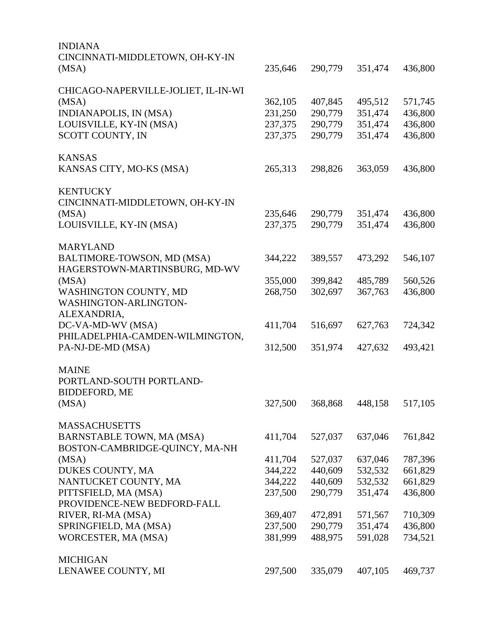| <b>INDIANA</b>                      |         |         |         |         |
|-------------------------------------|---------|---------|---------|---------|
| CINCINNATI-MIDDLETOWN, OH-KY-IN     |         |         |         |         |
| (MSA)                               | 235,646 | 290,779 | 351,474 | 436,800 |
| CHICAGO-NAPERVILLE-JOLIET, IL-IN-WI |         |         |         |         |
| (MSA)                               | 362,105 | 407,845 | 495,512 | 571,745 |
| INDIANAPOLIS, IN (MSA)              | 231,250 | 290,779 | 351,474 | 436,800 |
| LOUISVILLE, KY-IN (MSA)             | 237,375 | 290,779 | 351,474 | 436,800 |
| SCOTT COUNTY, IN                    | 237,375 | 290,779 | 351,474 | 436,800 |
| <b>KANSAS</b>                       |         |         |         |         |
| KANSAS CITY, MO-KS (MSA)            | 265,313 | 298,826 | 363,059 | 436,800 |
| <b>KENTUCKY</b>                     |         |         |         |         |
| CINCINNATI-MIDDLETOWN, OH-KY-IN     |         |         |         |         |
| (MSA)                               | 235,646 | 290,779 | 351,474 | 436,800 |
| LOUISVILLE, KY-IN (MSA)             | 237,375 | 290,779 | 351,474 | 436,800 |
| <b>MARYLAND</b>                     |         |         |         |         |
| BALTIMORE-TOWSON, MD (MSA)          | 344,222 | 389,557 | 473,292 | 546,107 |
| HAGERSTOWN-MARTINSBURG, MD-WV       |         |         |         |         |
| (MSA)                               | 355,000 | 399,842 | 485,789 | 560,526 |
| WASHINGTON COUNTY, MD               | 268,750 | 302,697 | 367,763 | 436,800 |
| WASHINGTON-ARLINGTON-               |         |         |         |         |
| ALEXANDRIA,                         |         |         |         |         |
| DC-VA-MD-WV (MSA)                   | 411,704 | 516,697 | 627,763 | 724,342 |
| PHILADELPHIA-CAMDEN-WILMINGTON,     |         |         |         |         |
| PA-NJ-DE-MD (MSA)                   | 312,500 | 351,974 | 427,632 | 493,421 |
| <b>MAINE</b>                        |         |         |         |         |
| PORTLAND-SOUTH PORTLAND-            |         |         |         |         |
| <b>BIDDEFORD, ME</b>                |         |         |         |         |
| (MSA)                               | 327,500 | 368,868 | 448,158 | 517,105 |
| <b>MASSACHUSETTS</b>                |         |         |         |         |
| <b>BARNSTABLE TOWN, MA (MSA)</b>    | 411,704 | 527,037 | 637,046 | 761,842 |
| BOSTON-CAMBRIDGE-QUINCY, MA-NH      |         |         |         |         |
| (MSA)                               | 411,704 | 527,037 | 637,046 | 787,396 |
| DUKES COUNTY, MA                    | 344,222 | 440,609 | 532,532 | 661,829 |
| NANTUCKET COUNTY, MA                | 344,222 | 440,609 | 532,532 | 661,829 |
| PITTSFIELD, MA (MSA)                | 237,500 | 290,779 | 351,474 | 436,800 |
| PROVIDENCE-NEW BEDFORD-FALL         |         |         |         |         |
| RIVER, RI-MA (MSA)                  | 369,407 | 472,891 | 571,567 | 710,309 |
| SPRINGFIELD, MA (MSA)               | 237,500 | 290,779 | 351,474 | 436,800 |
| WORCESTER, MA (MSA)                 | 381,999 | 488,975 | 591,028 | 734,521 |
| <b>MICHIGAN</b>                     |         |         |         |         |
| LENAWEE COUNTY, MI                  | 297,500 | 335,079 | 407,105 | 469,737 |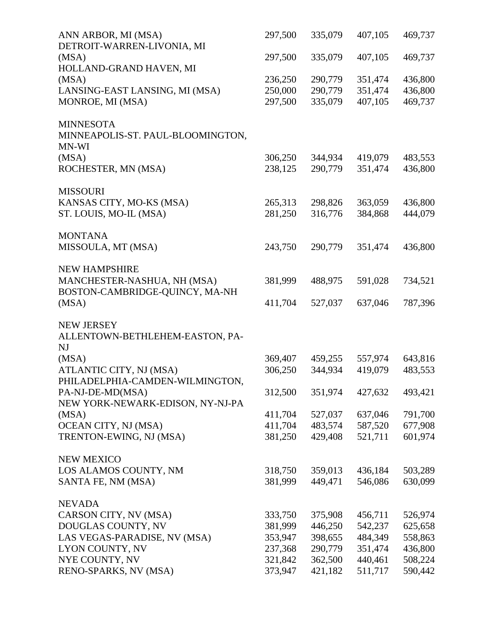| ANN ARBOR, MI (MSA)<br>DETROIT-WARREN-LIVONIA, MI             | 297,500 | 335,079 | 407,105 | 469,737 |
|---------------------------------------------------------------|---------|---------|---------|---------|
| (MSA)                                                         | 297,500 | 335,079 | 407,105 | 469,737 |
| HOLLAND-GRAND HAVEN, MI                                       |         |         |         |         |
| (MSA)                                                         | 236,250 | 290,779 | 351,474 | 436,800 |
| LANSING-EAST LANSING, MI (MSA)                                | 250,000 | 290,779 | 351,474 | 436,800 |
| MONROE, MI (MSA)                                              | 297,500 | 335,079 | 407,105 | 469,737 |
| <b>MINNESOTA</b>                                              |         |         |         |         |
| MINNEAPOLIS-ST. PAUL-BLOOMINGTON,<br>MN-WI                    |         |         |         |         |
| (MSA)                                                         | 306,250 | 344,934 | 419,079 | 483,553 |
| ROCHESTER, MN (MSA)                                           | 238,125 | 290,779 | 351,474 | 436,800 |
| <b>MISSOURI</b>                                               |         |         |         |         |
| KANSAS CITY, MO-KS (MSA)                                      | 265,313 | 298,826 | 363,059 | 436,800 |
| ST. LOUIS, MO-IL (MSA)                                        | 281,250 | 316,776 | 384,868 | 444,079 |
| <b>MONTANA</b>                                                |         |         |         |         |
| MISSOULA, MT (MSA)                                            | 243,750 | 290,779 | 351,474 | 436,800 |
| <b>NEW HAMPSHIRE</b>                                          |         |         |         |         |
| MANCHESTER-NASHUA, NH (MSA)<br>BOSTON-CAMBRIDGE-QUINCY, MA-NH | 381,999 | 488,975 | 591,028 | 734,521 |
| (MSA)                                                         | 411,704 | 527,037 | 637,046 | 787,396 |
| <b>NEW JERSEY</b>                                             |         |         |         |         |
| ALLENTOWN-BETHLEHEM-EASTON, PA-<br>NJ                         |         |         |         |         |
| (MSA)                                                         | 369,407 | 459,255 | 557,974 | 643,816 |
| ATLANTIC CITY, NJ (MSA)                                       | 306,250 | 344,934 | 419,079 | 483,553 |
| PHILADELPHIA-CAMDEN-WILMINGTON,                               |         |         |         |         |
| PA-NJ-DE-MD(MSA)                                              | 312,500 | 351,974 | 427,632 | 493,421 |
| NEW YORK-NEWARK-EDISON, NY-NJ-PA                              |         |         |         |         |
| (MSA)                                                         | 411,704 | 527,037 | 637,046 | 791,700 |
| OCEAN CITY, NJ (MSA)                                          | 411,704 | 483,574 | 587,520 | 677,908 |
| TRENTON-EWING, NJ (MSA)                                       | 381,250 | 429,408 | 521,711 | 601,974 |
| <b>NEW MEXICO</b>                                             |         |         |         |         |
| LOS ALAMOS COUNTY, NM                                         | 318,750 | 359,013 | 436,184 | 503,289 |
| SANTA FE, NM (MSA)                                            | 381,999 | 449,471 | 546,086 | 630,099 |
| <b>NEVADA</b>                                                 |         |         |         |         |
| CARSON CITY, NV (MSA)                                         | 333,750 | 375,908 | 456,711 | 526,974 |
| DOUGLAS COUNTY, NV                                            | 381,999 | 446,250 | 542,237 | 625,658 |
| LAS VEGAS-PARADISE, NV (MSA)                                  | 353,947 | 398,655 | 484,349 | 558,863 |
| LYON COUNTY, NV                                               | 237,368 | 290,779 | 351,474 | 436,800 |
| NYE COUNTY, NV                                                | 321,842 | 362,500 | 440,461 | 508,224 |
| RENO-SPARKS, NV (MSA)                                         | 373,947 | 421,182 | 511,717 | 590,442 |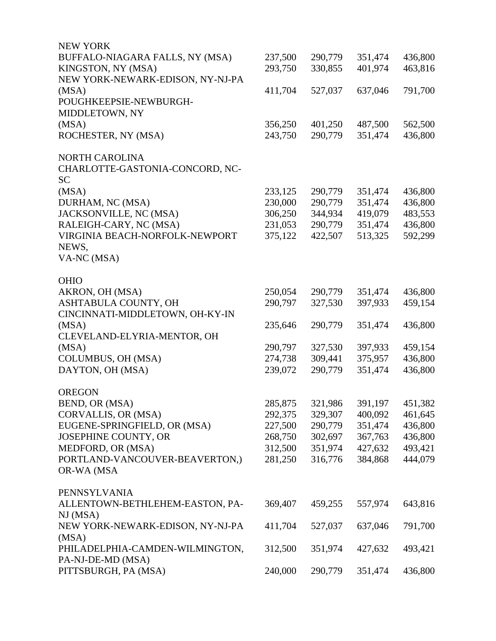| <b>NEW YORK</b>                  |         |         |         |         |
|----------------------------------|---------|---------|---------|---------|
| BUFFALO-NIAGARA FALLS, NY (MSA)  | 237,500 | 290,779 | 351,474 | 436,800 |
| KINGSTON, NY (MSA)               | 293,750 | 330,855 | 401,974 | 463,816 |
| NEW YORK-NEWARK-EDISON, NY-NJ-PA |         |         |         |         |
| (MSA)                            | 411,704 | 527,037 | 637,046 | 791,700 |
| POUGHKEEPSIE-NEWBURGH-           |         |         |         |         |
| MIDDLETOWN, NY                   |         |         |         |         |
| (MSA)                            | 356,250 | 401,250 | 487,500 | 562,500 |
| ROCHESTER, NY (MSA)              | 243,750 | 290,779 | 351,474 | 436,800 |
| <b>NORTH CAROLINA</b>            |         |         |         |         |
| CHARLOTTE-GASTONIA-CONCORD, NC-  |         |         |         |         |
| <b>SC</b>                        |         |         |         |         |
| (MSA)                            | 233,125 | 290,779 | 351,474 | 436,800 |
| DURHAM, NC (MSA)                 | 230,000 | 290,779 | 351,474 | 436,800 |
| JACKSONVILLE, NC (MSA)           | 306,250 | 344,934 | 419,079 | 483,553 |
| RALEIGH-CARY, NC (MSA)           | 231,053 | 290,779 | 351,474 | 436,800 |
| VIRGINIA BEACH-NORFOLK-NEWPORT   | 375,122 | 422,507 | 513,325 | 592,299 |
| NEWS,                            |         |         |         |         |
| VA-NC (MSA)                      |         |         |         |         |
| <b>OHIO</b>                      |         |         |         |         |
| AKRON, OH (MSA)                  | 250,054 | 290,779 | 351,474 | 436,800 |
| ASHTABULA COUNTY, OH             | 290,797 | 327,530 | 397,933 | 459,154 |
| CINCINNATI-MIDDLETOWN, OH-KY-IN  |         |         |         |         |
| (MSA)                            | 235,646 | 290,779 | 351,474 | 436,800 |
| CLEVELAND-ELYRIA-MENTOR, OH      |         |         |         |         |
| (MSA)                            | 290,797 | 327,530 | 397,933 | 459,154 |
| COLUMBUS, OH (MSA)               | 274,738 | 309,441 | 375,957 | 436,800 |
| DAYTON, OH (MSA)                 | 239,072 | 290,779 | 351,474 | 436,800 |
| <b>OREGON</b>                    |         |         |         |         |
| BEND, OR (MSA)                   | 285,875 | 321,986 | 391,197 | 451,382 |
| CORVALLIS, OR (MSA)              | 292,375 | 329,307 | 400,092 | 461,645 |
| EUGENE-SPRINGFIELD, OR (MSA)     | 227,500 | 290,779 | 351,474 | 436,800 |
| JOSEPHINE COUNTY, OR             | 268,750 | 302,697 | 367,763 | 436,800 |
| MEDFORD, OR (MSA)                | 312,500 | 351,974 | 427,632 | 493,421 |
| PORTLAND-VANCOUVER-BEAVERTON,)   | 281,250 | 316,776 | 384,868 | 444,079 |
| OR-WA (MSA                       |         |         |         |         |
| PENNSYLVANIA                     |         |         |         |         |
| ALLENTOWN-BETHLEHEM-EASTON, PA-  | 369,407 | 459,255 | 557,974 | 643,816 |
| NJ(MSA)                          |         |         |         |         |
| NEW YORK-NEWARK-EDISON, NY-NJ-PA | 411,704 | 527,037 | 637,046 | 791,700 |
| (MSA)                            |         |         |         |         |
| PHILADELPHIA-CAMDEN-WILMINGTON,  | 312,500 | 351,974 | 427,632 | 493,421 |
| PA-NJ-DE-MD (MSA)                |         |         |         |         |
| PITTSBURGH, PA (MSA)             | 240,000 | 290,779 | 351,474 | 436,800 |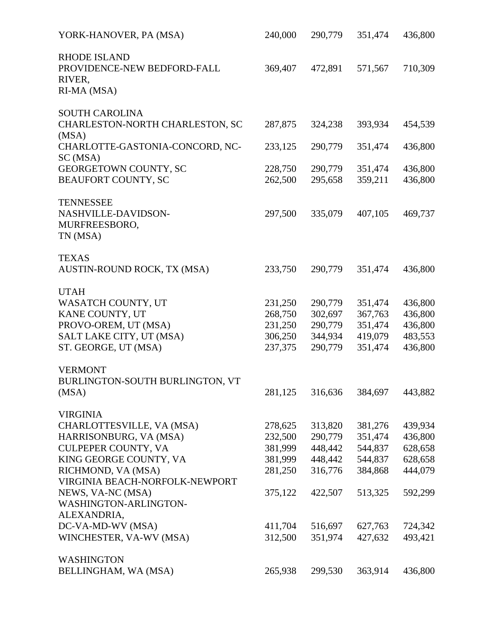| YORK-HANOVER, PA (MSA)                             | 240,000 | 290,779         | 351,474 | 436,800         |
|----------------------------------------------------|---------|-----------------|---------|-----------------|
| <b>RHODE ISLAND</b><br>PROVIDENCE-NEW BEDFORD-FALL | 369,407 | 472,891         | 571,567 | 710,309         |
| RIVER,<br>RI-MA (MSA)                              |         |                 |         |                 |
| <b>SOUTH CAROLINA</b>                              |         |                 |         |                 |
| CHARLESTON-NORTH CHARLESTON, SC<br>(MSA)           | 287,875 | 324,238         | 393,934 | 454,539         |
| CHARLOTTE-GASTONIA-CONCORD, NC-<br>SC (MSA)        | 233,125 | 290,779         | 351,474 | 436,800         |
| GEORGETOWN COUNTY, SC                              | 228,750 | 290,779         | 351,474 | 436,800         |
| <b>BEAUFORT COUNTY, SC</b>                         | 262,500 | 295,658         | 359,211 | 436,800         |
| <b>TENNESSEE</b>                                   |         |                 |         |                 |
| NASHVILLE-DAVIDSON-<br>MURFREESBORO,               | 297,500 | 335,079         | 407,105 | 469,737         |
| TN (MSA)                                           |         |                 |         |                 |
| <b>TEXAS</b>                                       |         |                 |         |                 |
| AUSTIN-ROUND ROCK, TX (MSA)                        | 233,750 | 290,779         | 351,474 | 436,800         |
| <b>UTAH</b><br>WASATCH COUNTY, UT                  | 231,250 | 290,779         | 351,474 | 436,800         |
| KANE COUNTY, UT                                    | 268,750 | 302,697         | 367,763 | 436,800         |
| PROVO-OREM, UT (MSA)                               | 231,250 | 290,779         | 351,474 | 436,800         |
| SALT LAKE CITY, UT (MSA)                           | 306,250 | 344,934         | 419,079 | 483,553         |
| ST. GEORGE, UT (MSA)                               | 237,375 | 290,779         | 351,474 | 436,800         |
| <b>VERMONT</b>                                     |         |                 |         |                 |
| BURLINGTON-SOUTH BURLINGTON, VT                    |         |                 |         |                 |
| (MSA)                                              |         | 281,125 316,636 |         | 384,697 443,882 |
| <b>VIRGINIA</b>                                    |         |                 |         |                 |
| CHARLOTTESVILLE, VA (MSA)                          | 278,625 | 313,820         | 381,276 | 439,934         |
| HARRISONBURG, VA (MSA)                             | 232,500 | 290,779         | 351,474 | 436,800         |
| CULPEPER COUNTY, VA                                | 381,999 | 448,442         | 544,837 | 628,658         |
| KING GEORGE COUNTY, VA                             | 381,999 | 448,442         | 544,837 | 628,658         |
| RICHMOND, VA (MSA)                                 | 281,250 | 316,776         | 384,868 | 444,079         |
| VIRGINIA BEACH-NORFOLK-NEWPORT                     |         |                 |         |                 |
| NEWS, VA-NC (MSA)                                  | 375,122 | 422,507         | 513,325 | 592,299         |
| WASHINGTON-ARLINGTON-                              |         |                 |         |                 |
| ALEXANDRIA,                                        |         |                 |         |                 |
| DC-VA-MD-WV (MSA)                                  | 411,704 | 516,697         | 627,763 | 724,342         |
| WINCHESTER, VA-WV (MSA)                            | 312,500 | 351,974         | 427,632 | 493,421         |
| <b>WASHINGTON</b>                                  |         |                 |         |                 |
| BELLINGHAM, WA (MSA)                               | 265,938 | 299,530         | 363,914 | 436,800         |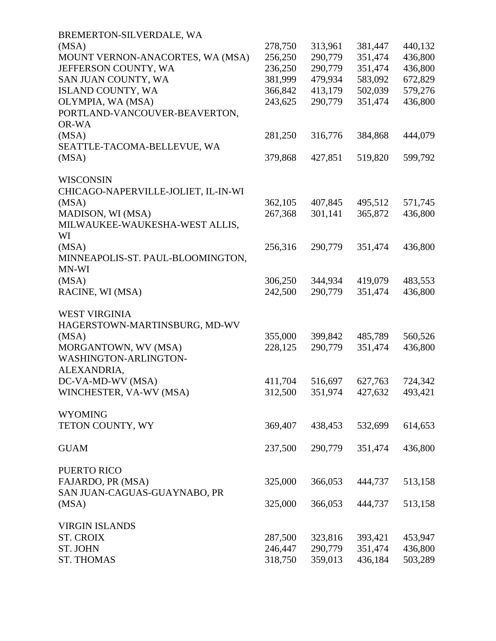| BREMERTON-SILVERDALE, WA            |         |         |         |         |
|-------------------------------------|---------|---------|---------|---------|
| (MSA)                               | 278,750 | 313,961 | 381,447 | 440,132 |
| MOUNT VERNON-ANACORTES, WA (MSA)    | 256,250 | 290,779 | 351,474 | 436,800 |
| JEFFERSON COUNTY, WA                | 236,250 | 290,779 | 351,474 | 436,800 |
| SAN JUAN COUNTY, WA                 | 381,999 | 479,934 | 583,092 | 672,829 |
| ISLAND COUNTY, WA                   | 366,842 | 413,179 | 502,039 | 579,276 |
| OLYMPIA, WA (MSA)                   | 243,625 | 290,779 | 351,474 | 436,800 |
| PORTLAND-VANCOUVER-BEAVERTON,       |         |         |         |         |
| OR-WA                               |         |         |         |         |
| (MSA)                               | 281,250 | 316,776 | 384,868 | 444,079 |
| SEATTLE-TACOMA-BELLEVUE, WA         |         |         |         |         |
| (MSA)                               | 379,868 | 427,851 | 519,820 | 599,792 |
|                                     |         |         |         |         |
| <b>WISCONSIN</b>                    |         |         |         |         |
| CHICAGO-NAPERVILLE-JOLIET, IL-IN-WI |         |         |         |         |
| (MSA)                               | 362,105 | 407,845 | 495,512 | 571,745 |
| MADISON, WI (MSA)                   | 267,368 | 301,141 | 365,872 | 436,800 |
| MILWAUKEE-WAUKESHA-WEST ALLIS,      |         |         |         |         |
| WI                                  |         |         |         |         |
| (MSA)                               | 256,316 | 290,779 | 351,474 | 436,800 |
| MINNEAPOLIS-ST. PAUL-BLOOMINGTON,   |         |         |         |         |
| MN-WI                               |         |         |         |         |
| (MSA)                               | 306,250 | 344,934 | 419,079 | 483,553 |
| RACINE, WI (MSA)                    | 242,500 | 290,779 | 351,474 | 436,800 |
| <b>WEST VIRGINIA</b>                |         |         |         |         |
|                                     |         |         |         |         |
| HAGERSTOWN-MARTINSBURG, MD-WV       |         |         |         |         |
| (MSA)                               | 355,000 | 399,842 | 485,789 | 560,526 |
| MORGANTOWN, WV (MSA)                | 228,125 | 290,779 | 351,474 | 436,800 |
| WASHINGTON-ARLINGTON-               |         |         |         |         |
| ALEXANDRIA,                         |         |         |         |         |
| DC-VA-MD-WV (MSA)                   | 411,704 | 516,697 | 627,763 | 724,342 |
| WINCHESTER, VA-WV (MSA)             | 312,500 | 351,974 | 427,632 | 493,421 |
| <b>WYOMING</b>                      |         |         |         |         |
| TETON COUNTY, WY                    | 369,407 | 438,453 | 532,699 | 614,653 |
|                                     |         |         |         |         |
| <b>GUAM</b>                         | 237,500 | 290,779 | 351,474 | 436,800 |
| <b>PUERTO RICO</b>                  |         |         |         |         |
| FAJARDO, PR (MSA)                   | 325,000 | 366,053 | 444,737 | 513,158 |
| SAN JUAN-CAGUAS-GUAYNABO, PR        |         |         |         |         |
| (MSA)                               | 325,000 | 366,053 | 444,737 | 513,158 |
|                                     |         |         |         |         |
| <b>VIRGIN ISLANDS</b>               |         |         |         |         |
| <b>ST. CROIX</b>                    | 287,500 | 323,816 | 393,421 | 453,947 |
| <b>ST. JOHN</b>                     | 246,447 | 290,779 | 351,474 | 436,800 |
| <b>ST. THOMAS</b>                   | 318,750 | 359,013 | 436,184 | 503,289 |
|                                     |         |         |         |         |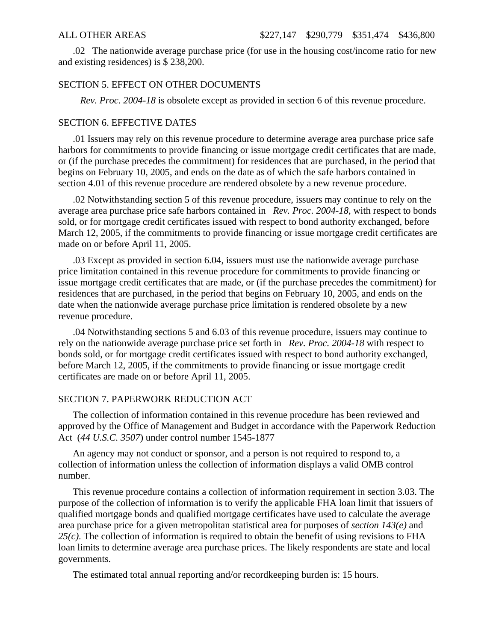.02 The nationwide average purchase price (for use in the housing cost/income ratio for new and existing residences) is \$ 238,200.

## SECTION 5. EFFECT ON OTHER DOCUMENTS

*Rev. Proc. 2004-18* is obsolete except as provided in section 6 of this revenue procedure.

#### SECTION 6. EFFECTIVE DATES

.01 Issuers may rely on this revenue procedure to determine average area purchase price safe harbors for commitments to provide financing or issue mortgage credit certificates that are made, or (if the purchase precedes the commitment) for residences that are purchased, in the period that begins on February 10, 2005, and ends on the date as of which the safe harbors contained in section 4.01 of this revenue procedure are rendered obsolete by a new revenue procedure.

.02 Notwithstanding section 5 of this revenue procedure, issuers may continue to rely on the average area purchase price safe harbors contained in *Rev. Proc. 2004-18*, with respect to bonds sold, or for mortgage credit certificates issued with respect to bond authority exchanged, before March 12, 2005, if the commitments to provide financing or issue mortgage credit certificates are made on or before April 11, 2005.

.03 Except as provided in section 6.04, issuers must use the nationwide average purchase price limitation contained in this revenue procedure for commitments to provide financing or issue mortgage credit certificates that are made, or (if the purchase precedes the commitment) for residences that are purchased, in the period that begins on February 10, 2005, and ends on the date when the nationwide average purchase price limitation is rendered obsolete by a new revenue procedure.

.04 Notwithstanding sections 5 and 6.03 of this revenue procedure, issuers may continue to rely on the nationwide average purchase price set forth in *Rev. Proc. 2004-18* with respect to bonds sold, or for mortgage credit certificates issued with respect to bond authority exchanged, before March 12, 2005, if the commitments to provide financing or issue mortgage credit certificates are made on or before April 11, 2005.

#### SECTION 7. PAPERWORK REDUCTION ACT

The collection of information contained in this revenue procedure has been reviewed and approved by the Office of Management and Budget in accordance with the Paperwork Reduction Act (*44 U.S.C. 3507*) under control number 1545-1877

An agency may not conduct or sponsor, and a person is not required to respond to, a collection of information unless the collection of information displays a valid OMB control number.

This revenue procedure contains a collection of information requirement in section 3.03. The purpose of the collection of information is to verify the applicable FHA loan limit that issuers of qualified mortgage bonds and qualified mortgage certificates have used to calculate the average area purchase price for a given metropolitan statistical area for purposes of *section 143(e)* and *25(c)*. The collection of information is required to obtain the benefit of using revisions to FHA loan limits to determine average area purchase prices. The likely respondents are state and local governments.

The estimated total annual reporting and/or recordkeeping burden is: 15 hours.